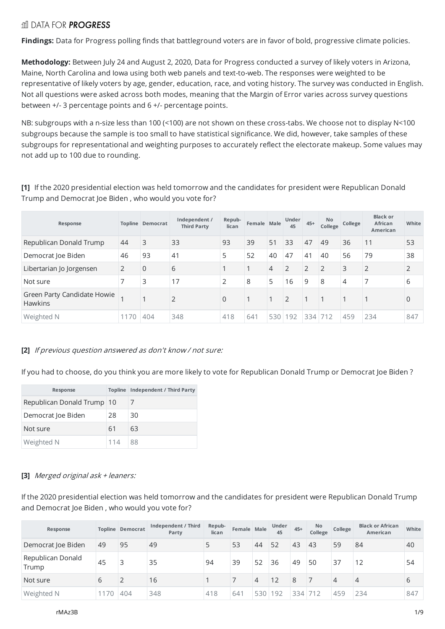### rtil DATA FOR **PROGRESS**

**Findings:** Data for Progress polling finds that battleground voters are in favor of bold, progressive climate policies.

**Methodology:** Between July 24 and August 2, 2020, Data for Progress conducted a survey of likely voters in Arizona, Maine, North Carolina and Iowa using both web panels and text-to-web. The responses were weighted to be representative of likely voters by age, gender, education, race, and voting history. The survey was conducted in English. Not all questions were asked across both modes, meaning that the Margin of Error varies across survey questions between +/- 3 percentage points and 6 +/- percentage points.

NB: subgroups with a n-size less than 100 (<100) are not shown on these cross-tabs. We choose not to display N<100 subgroups because the sample is too small to have statistical significance. We did, however, take samples of these subgroups for representational and weighting purposes to accurately reflect the electorate makeup. Some values may not add up to 100 due to rounding.

**[1]** If the 2020 presidential election was held tomorrow and the candidates for president were Republican Donald Trump and Democrat Joe Biden , who would you vote for?

| Response                                      |      | <b>Topline Democrat</b> | Independent /<br><b>Third Party</b> | Repub-<br>lican | Female Male |     | Under<br>45 | $45+$ | No.<br>College | College | <b>Black or</b><br><b>African</b><br>American | White          |
|-----------------------------------------------|------|-------------------------|-------------------------------------|-----------------|-------------|-----|-------------|-------|----------------|---------|-----------------------------------------------|----------------|
| Republican Donald Trump                       | 44   | 3                       | 33                                  | 93              | 39          | 51  | 33          | 47    | 49             | 36      | 11                                            | 53             |
| Democrat Joe Biden                            | 46   | 93                      | 41                                  | 5               | 52          | 40  | 47          | 41    | 40             | 56      | 79                                            | 38             |
| Libertarian Jo Jorgensen                      | 2    | $\Omega$                | 6                                   |                 |             | 4   | 2           | 2     | $\overline{2}$ | 3       | $\overline{2}$                                | $\overline{2}$ |
| Not sure                                      |      | 3                       | 17                                  | 2               | 8           | 5   | 16          | 9     | 8              | 4       | 7                                             | 6              |
| Green Party Candidate Howie<br><b>Hawkins</b> |      |                         | 2                                   | $\Omega$        |             |     | 2           |       |                |         |                                               | $\Omega$       |
| Weighted N                                    | 1170 | 404                     | 348                                 | 418             | 641         | 530 | 192         | 334   | $-712$         | 459     | 234                                           | 847            |

### **[2]** If previous question answered as don't know / not sure:

If you had to choose, do you think you are more likely to vote for Republican Donald Trump or Democrat Joe Biden ?

| Response                   | <b>Topline</b> | <b>Independent / Third Party</b> |
|----------------------------|----------------|----------------------------------|
| Republican Donald Trump 10 |                |                                  |
| Democrat loe Biden         | 28             | 30                               |
| Not sure                   | 61             | 63                               |
| Weighted N                 | 114            | 88                               |

#### **[3]** Merged original ask <sup>+</sup> leaners:

If the 2020 presidential election was held tomorrow and the candidates for president were Republican Donald Trump and Democrat Joe Biden , who would you vote for?

| Response                   |     | <b>Topline Democrat</b> | Independent / Third<br>Party | Repub-<br>lican | Female Male |     | <b>Under</b><br>45 | $45+$   | <b>No</b><br>College | College | <b>Black or African</b><br>American | White |
|----------------------------|-----|-------------------------|------------------------------|-----------------|-------------|-----|--------------------|---------|----------------------|---------|-------------------------------------|-------|
| Democrat Joe Biden         | 49  | 95                      | 49                           |                 | 53          | 44  | 52                 | 43      | 43                   | 59      | 84                                  | 40    |
| Republican Donald<br>Trump | 45  | 3                       | 35                           | 94              | 39          | 52  | 36                 | 49      | 50                   | 37      | 12                                  | 54    |
| Not sure                   | b   |                         | 16                           |                 |             | 4   | 12                 | 8       |                      | 4       | 4                                   | 6     |
| Weighted N                 | 170 | 404                     | 348                          | 418             | 641         | 530 | 192                | 334 712 |                      | 459     | 234                                 | 847   |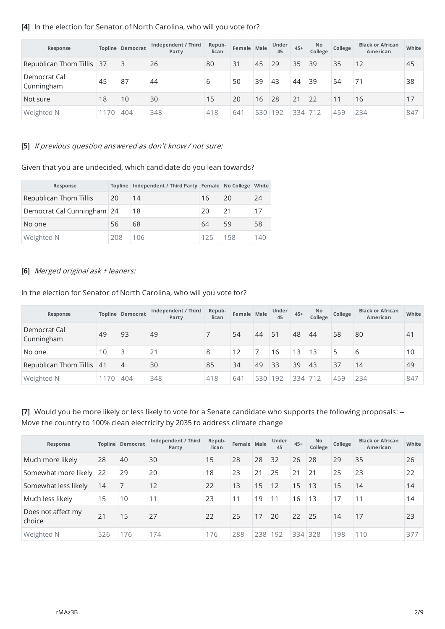| Response                   |    | <b>Topline Democrat</b> | Independent / Third<br>Party | Repub-<br>lican | Female Male |     | Under<br>45 | $45+$   | <b>No</b><br>College | College | <b>Black or African</b><br>American | White |
|----------------------------|----|-------------------------|------------------------------|-----------------|-------------|-----|-------------|---------|----------------------|---------|-------------------------------------|-------|
| Republican Thom Tillis 37  |    | $\overline{3}$          | 26                           | 80              | 31          | 45  | 29          | 35      | 39                   | 35      | 12                                  | 45    |
| Democrat Cal<br>Cunningham | 45 | 87                      | 44                           | 6               | 50          | 39  | 43          | 44      | 39                   | 54      |                                     | 38    |
| Not sure                   | 18 | 10                      | 30                           | 15              | 20          | 16  | 28          | 21      | 22                   | 11      | 16                                  | 17    |
| Weighted N                 | 70 | 404                     | 348                          | 418             | 641         | 530 | 192         | 334 712 |                      | 459     | 234                                 | 847   |

### **[4]** In the election for Senator of North Carolina, who will you vote for?

#### **[5]** If previous question answered as don't know / not sure:

Given that you are undecided, which candidate do you lean towards?

| Response                   |     | Topline Independent / Third Party Female No College |     |     | White |
|----------------------------|-----|-----------------------------------------------------|-----|-----|-------|
| Republican Thom Tillis     | 20  | 14                                                  | 16  | 20  | 24    |
| Democrat Cal Cunningham 24 |     | 18                                                  | -20 | 21  | 17    |
| No one                     | 56  | 68                                                  | 64  | 59  | 58    |
| Weighted N                 | 208 | 106                                                 | 125 | 158 | 140   |

#### **[6]** Merged original ask <sup>+</sup> leaners:

In the election for Senator of North Carolina, who will you vote for?

| Response                   |      | <b>Topline Democrat</b> | Independent / Third<br>Party | Repub-<br>lican | Female Male |     | Under<br>45 | $45+$   | No.<br>College | College | <b>Black or African</b><br>American | White |
|----------------------------|------|-------------------------|------------------------------|-----------------|-------------|-----|-------------|---------|----------------|---------|-------------------------------------|-------|
| Democrat Cal<br>Cunningham | 49   | 93                      | 49                           |                 | 54          | 44  | 51          | 48      | 44             | 58      | 80                                  | 41    |
| No one                     | 10   |                         | 21                           | 8               | 12          |     | 16          | 13      | 13             | 5       | 6                                   | 10    |
| Republican Thom Tillis 41  |      | $\overline{4}$          | 30                           | 85              | 34          | 49  | 33          | 39      | 43             | 37      | 14                                  | 49    |
| Weighted N                 | 1170 | 404                     | 348                          | 418             | 641         | 530 | 192         | 334 712 |                | 459     | 234                                 | 847   |

**[7]** Would you be more likely or less likely to vote for a Senate candidate who supports the following proposals: -- Move the country to 100% clean electricity by 2035 to address climate change

| Response                     |     | <b>Topline Democrat</b> | Independent / Third<br>Party | Repub-<br>lican | Female Male |     | <b>Under</b><br>45 | $45+$ | <b>No</b><br>College | College | <b>Black or African</b><br>American | White |
|------------------------------|-----|-------------------------|------------------------------|-----------------|-------------|-----|--------------------|-------|----------------------|---------|-------------------------------------|-------|
| Much more likely             | 28  | 40                      | 30                           | 15              | 28          | 28  | 32                 | 26    | 28                   | 29      | 35                                  | 26    |
| Somewhat more likely 22      |     | 29                      | 20                           | 18              | 23          | 21  | 25                 | 21    | 21                   | 25      | 23                                  | 22    |
| Somewhat less likely         | 14  | 7                       | 12                           | 22              | 13          | 15  | 12                 | 15    | 13                   | 15      | 14                                  | 14    |
| Much less likely             | 15  | 10                      | 11                           | 23              | 11          | 19  | 11                 | 16    | 13                   | 17      | 11                                  | 14    |
| Does not affect my<br>choice | 21  | 15                      | 27                           | 22              | 25          | 17  | 20                 | 22    | 25                   | 14      | 17                                  | 23    |
| Weighted N                   | 526 | 176                     | 174                          | 176             | 288         | 238 | 192                |       | 334 328              | 198     | 110                                 | 377   |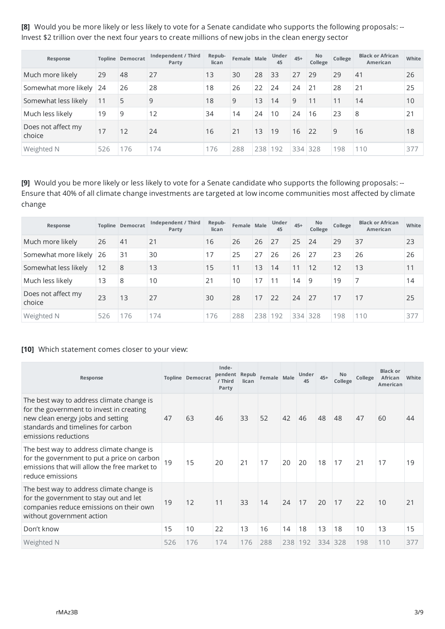**[8]** Would you be more likely or less likely to vote for a Senate candidate who supports the following proposals: -- Invest \$2 trillion over the next four years to create millions of new jobs in the clean energy sector

| Response                     |     | <b>Topline Democrat</b> | Independent / Third<br>Party | Repub-<br>lican | Female Male |     | <b>Under</b><br>45 | $45+$ | No.<br>College | College | <b>Black or African</b><br>American | White |
|------------------------------|-----|-------------------------|------------------------------|-----------------|-------------|-----|--------------------|-------|----------------|---------|-------------------------------------|-------|
| Much more likely             | 29  | 48                      | 27                           | 13              | 30          | 28  | 33                 | 27    | 29             | 29      | 41                                  | 26    |
| Somewhat more likely 24      |     | 26                      | 28                           | 18              | 26          | 22  | 24                 | 24    | $\vert$ 21     | 28      | 21                                  | 25    |
| Somewhat less likely         | 11  | 5                       | 9                            | 18              | 9           | 13  | 14                 | 9     | 11             | 11      | 14                                  | 10    |
| Much less likely             | 19  | 9                       | 12                           | 34              | 14          | 24  | 10                 | 24    | 16             | 23      | 8                                   | 21    |
| Does not affect my<br>choice | 17  | 12                      | 24                           | 16              | 21          | 13  | 19                 | 16    | $\sqrt{22}$    | 9       | 16                                  | 18    |
| Weighted N                   | 526 | 176                     | 174                          | 176             | 288         | 238 | 192                |       | 334 328        | 198     | 110                                 | 377   |

**[9]** Would you be more likely or less likely to vote for a Senate candidate who supports the following proposals: -- Ensure that 40% of all climate change investments are targeted at low income communities most affected by climate change

| Response                     |     | <b>Topline Democrat</b> | Independent / Third<br>Party | Repub-<br>lican | Female Male |     | <b>Under</b><br>45 | $45+$   | <b>No</b><br>College | College | <b>Black or African</b><br>American | White |
|------------------------------|-----|-------------------------|------------------------------|-----------------|-------------|-----|--------------------|---------|----------------------|---------|-------------------------------------|-------|
| Much more likely             | 26  | 41                      | 21                           | 16              | 26          | 26  | 27                 | 25      | 24                   | 29      | 37                                  | 23    |
| Somewhat more likely 26      |     | 31                      | 30                           | 17              | 25          | 27  | 26                 | 26      | 27                   | 23      | 26                                  | 26    |
| Somewhat less likely         | 12  | 8                       | 13                           | 15              | 11          | 13  | 14                 | 11      | 12                   | 12      | 13                                  | 11    |
| Much less likely             | 13  | 8                       | 10                           | 21              | 10          | 17  | 11                 | 14      | 9                    | 19      | 7                                   | 14    |
| Does not affect my<br>choice | 23  | 13                      | 27                           | 30              | 28          | 17  | 22                 | 24      | 27                   | 17      | 17                                  | 25    |
| Weighted N                   | 526 | 176                     | 174                          | 176             | 288         | 238 | 192                | 334 328 |                      | 198     | 110                                 | 377   |

### **[10]** Which statement comes closer to your view:

| Response                                                                                                                                                                                 |     | <b>Topline Democrat</b> | Inde-<br>pendent<br>/ Third<br>Party | Repub<br>lican | Female Male |     | Under<br>45 | $45+$ | No<br>College | College | <b>Black or</b><br><b>African</b><br>American | White |
|------------------------------------------------------------------------------------------------------------------------------------------------------------------------------------------|-----|-------------------------|--------------------------------------|----------------|-------------|-----|-------------|-------|---------------|---------|-----------------------------------------------|-------|
| The best way to address climate change is<br>for the government to invest in creating<br>new clean energy jobs and setting<br>standards and timelines for carbon<br>emissions reductions | 47  | 63                      | 46                                   | 33             | 52          | 42  | 46          | 48    | 48            | 47      | 60                                            | 44    |
| The best way to address climate change is<br>for the government to put a price on carbon<br>emissions that will allow the free market to<br>reduce emissions                             | 19  | 15                      | 20                                   | 21             | 17          | 20  | 20          | 18    | 17            | 21      | 17                                            | 19    |
| The best way to address climate change is<br>for the government to stay out and let<br>companies reduce emissions on their own<br>without government action                              | 19  | 12                      | 11                                   | 33             | 14          | 24  | 17          | 20    | 17            | 22      | 10                                            | 21    |
| Don't know                                                                                                                                                                               | 15  | 10                      | 22                                   | 13             | 16          | 14  | 18          | 13    | 18            | 10      | 13                                            | 15    |
| Weighted N                                                                                                                                                                               | 526 | 176                     | 174                                  | 176            | 288         | 238 | 192         | 334   | 328           | 198     | 110                                           | 377   |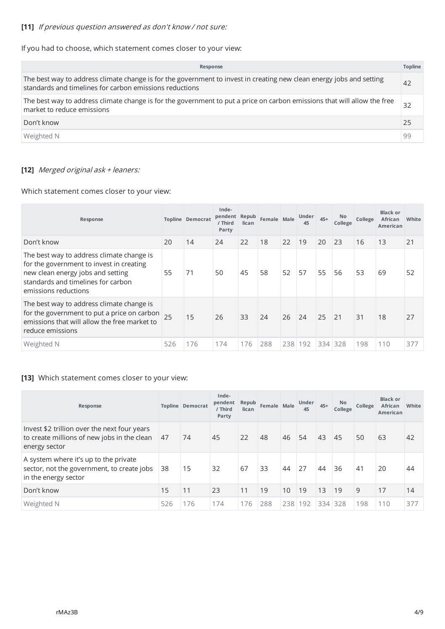# **[11]** If previous question answered as don't know / not sure:

If you had to choose, which statement comes closer to your view:

| Response                                                                                                                                                                        | <b>Topline</b> |
|---------------------------------------------------------------------------------------------------------------------------------------------------------------------------------|----------------|
| The best way to address climate change is for the government to invest in creating new clean energy jobs and setting<br>standards and timelines for carbon emissions reductions | 42             |
| The best way to address climate change is for the government to put a price on carbon emissions that will allow the free<br>market to reduce emissions                          | 32             |
| Don't know                                                                                                                                                                      | 25             |
| Weighted N                                                                                                                                                                      | 99             |

# **[12]** Merged original ask <sup>+</sup> leaners:

Which statement comes closer to your view:

| Response                                                                                                                                                                                 |     | <b>Topline Democrat</b> | Inde-<br>pendent<br>/ Third<br>Party | Repub<br>lican | Female Male |         | <b>Under</b><br>45 | $45+$ | No<br>College | College | <b>Black or</b><br><b>African</b><br>American | White |
|------------------------------------------------------------------------------------------------------------------------------------------------------------------------------------------|-----|-------------------------|--------------------------------------|----------------|-------------|---------|--------------------|-------|---------------|---------|-----------------------------------------------|-------|
| Don't know                                                                                                                                                                               | 20  | 14                      | 24                                   | 22             | 18          | 22      | 19                 | 20    | 23            | 16      | 13                                            | 21    |
| The best way to address climate change is<br>for the government to invest in creating<br>new clean energy jobs and setting<br>standards and timelines for carbon<br>emissions reductions | 55  | 71                      | 50                                   | 45             | 58          | 52      | 57                 | 55    | 56            | 53      | 69                                            | 52    |
| The best way to address climate change is<br>for the government to put a price on carbon<br>emissions that will allow the free market to<br>reduce emissions                             |     | 15                      | 26                                   | 33             | 24          | 26      | 24                 | 25    | 21            | 31      | 18                                            | 27    |
| Weighted N                                                                                                                                                                               | 526 | 176                     | 174                                  | 176            | 288         | 238 192 |                    | 334   | 328           | 198     | 110                                           | 377   |

# **[13]** Which statement comes closer to your view:

| Response                                                                                                     |     | <b>Topline Democrat</b> | Inde-<br>pendent<br>/ Third<br>Party | Repub<br>lican | Female Male |                 | Under<br>45 | $45+$ | No<br>College | College | <b>Black or</b><br>African<br>American | White |
|--------------------------------------------------------------------------------------------------------------|-----|-------------------------|--------------------------------------|----------------|-------------|-----------------|-------------|-------|---------------|---------|----------------------------------------|-------|
| Invest \$2 trillion over the next four years<br>to create millions of new jobs in the clean<br>energy sector | 47  | 74                      | 45                                   | 22             | 48          | 46              | 54          | 43    | 45            | 50      | 63                                     | 42    |
| A system where it's up to the private<br>sector, not the government, to create jobs<br>in the energy sector  | 38  | 15                      | 32                                   | 67             | 33          | 44              | 27          | 44    | 36            | 41      | 20                                     | 44    |
| Don't know                                                                                                   | 15  | 11                      | 23                                   | 11             | 19          | 10 <sup>°</sup> | 19          | 13    | 19            | 9       | 17                                     | 14    |
| Weighted N                                                                                                   | 526 | 176                     | 174                                  | 176            | 288         | 238             | 192         | 334   | 328           | 198     | 110                                    | 377   |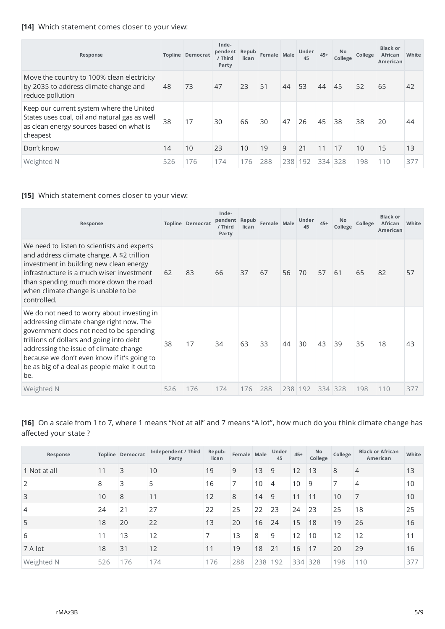# **[14]** Which statement comes closer to your view:

| Response                                                                                                                                          |     | <b>Topline Democrat</b> | Inde-<br>pendent<br>/ Third<br>Party | Repub<br>lican | Female Male |         | Under<br>45 | $45+$ | No<br>College | College | <b>Black or</b><br><b>African</b><br><b>American</b> | White |
|---------------------------------------------------------------------------------------------------------------------------------------------------|-----|-------------------------|--------------------------------------|----------------|-------------|---------|-------------|-------|---------------|---------|------------------------------------------------------|-------|
| Move the country to 100% clean electricity<br>by 2035 to address climate change and<br>reduce pollution                                           | 48  | 73                      | 47                                   | 23             | 51          | 44      | 53          | 44    | 45            | 52      | 65                                                   | 42    |
| Keep our current system where the United<br>States uses coal, oil and natural gas as well<br>as clean energy sources based on what is<br>cheapest | 38  | 17                      | 30                                   | 66             | 30          | 47      | 26          | 45    | 38            | 38      | 20                                                   | 44    |
| Don't know                                                                                                                                        | 14  | 10                      | 23                                   | 10             | 19          | 9       | 21          | 11    | 17            | 10      | 15                                                   | 13    |
| Weighted N                                                                                                                                        | 526 | 176                     | 174                                  | 176            | 288         | 238 192 |             | 334   | 328           | 198     | 110                                                  | 377   |

# **[15]** Which statement comes closer to your view:

| Response                                                                                                                                                                                                                                                                                                                      |     | <b>Topline Democrat</b> | Inde-<br>pendent<br>/ Third<br>Party | Repub<br>lican | Female Male |     | <b>Under</b><br>45 | $45+$ | No<br>College | College | <b>Black or</b><br><b>African</b><br>American | White |
|-------------------------------------------------------------------------------------------------------------------------------------------------------------------------------------------------------------------------------------------------------------------------------------------------------------------------------|-----|-------------------------|--------------------------------------|----------------|-------------|-----|--------------------|-------|---------------|---------|-----------------------------------------------|-------|
| We need to listen to scientists and experts<br>and address climate change. A \$2 trillion<br>investment in building new clean energy<br>infrastructure is a much wiser investment<br>than spending much more down the road<br>when climate change is unable to be<br>controlled.                                              | 62  | 83                      | 66                                   | 37             | 67          | 56  | 70                 | 57    | 61            | 65      | 82                                            | 57    |
| We do not need to worry about investing in<br>addressing climate change right now. The<br>government does not need to be spending<br>trillions of dollars and going into debt<br>addressing the issue of climate change<br>because we don't even know if it's going to<br>be as big of a deal as people make it out to<br>be. | 38  | 17                      | 34                                   | 63             | 33          | 44  | 30                 | 43    | 39            | 35      | 18                                            | 43    |
| Weighted N                                                                                                                                                                                                                                                                                                                    | 526 | 176                     | 174                                  | 176            | 288         | 238 | 192                | 334   | 328           | 198     | 110                                           | 377   |

**[16]** On a scale from 1 to 7, where 1 means "Not at all" and 7 means "A lot", how much do you think climate change has affected your state ?

| Response       |     | <b>Topline Democrat</b> | Independent / Third<br>Party | Repub-<br>lican | Female Male |     | Under<br>45 | $45+$ | No<br>College | College | <b>Black or African</b><br>American | White |
|----------------|-----|-------------------------|------------------------------|-----------------|-------------|-----|-------------|-------|---------------|---------|-------------------------------------|-------|
| 1 Not at all   | 11  | 3                       | 10                           | 19              | 9           | 13  | 9           | 12    | 13            | 8       | $\overline{4}$                      | 13    |
| 2              | 8   | 3                       | 5                            | 16              | 7           | 10  | 4           | 10    | 9             | 7       | $\overline{4}$                      | 10    |
| 3              | 10  | 8                       | 11                           | 12              | 8           | 14  | 9           | 11    | 11            | 10      | $\overline{7}$                      | 10    |
| $\overline{4}$ | 24  | 21                      | 27                           | 22              | 25          | 22  | 23          | 24    | 23            | 25      | 18                                  | 25    |
| 5              | 18  | 20                      | 22                           | 13              | 20          | 16  | 24          | 15    | 18            | 19      | 26                                  | 16    |
| 6              | 11  | 13                      | 12                           | 7               | 13          | 8   | 9           | 12    | 10            | 12      | 12                                  | 11    |
| 7 A lot        | 18  | 31                      | 12                           | 11              | 19          | 18  | 21          | 16    | 17            | 20      | 29                                  | 16    |
| Weighted N     | 526 | 176                     | 174                          | 176             | 288         | 238 | 192         |       | 334 328       | 198     | 110                                 | 377   |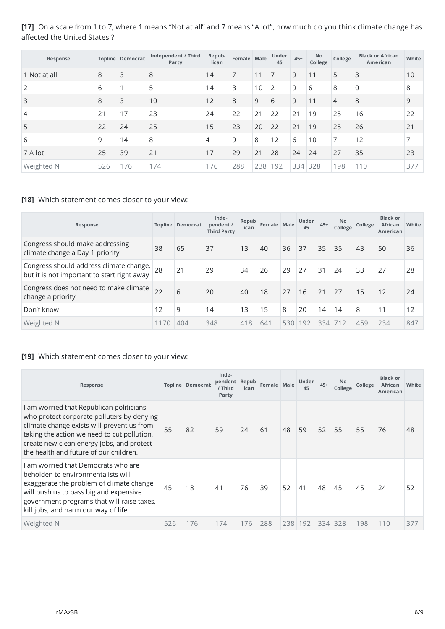# **[17]** On a scale from 1 to 7, where 1 means "Not at all" and 7 means "A lot", how much do you think climate change has affected the United States ?

| Response       |     | <b>Topline Democrat</b> | Independent / Third<br>Party | Repub-<br>lican | Female Male |     | Under<br>45    | $45+$   | No<br>College | College        | <b>Black or African</b><br>American | White |
|----------------|-----|-------------------------|------------------------------|-----------------|-------------|-----|----------------|---------|---------------|----------------|-------------------------------------|-------|
| 1 Not at all   | 8   | 3                       | 8                            | 14              | 7           | 11  | $\overline{7}$ | 9       | 11            | 5              | 3                                   | 10    |
| 2              | 6   |                         | 5                            | 14              | 3           | 10  | $\overline{2}$ | 9       | 6             | 8              | $\Omega$                            | 8     |
| 3              | 8   | 3                       | 10                           | 12              | 8           | 9   | 6              | 9       | 11            | $\overline{4}$ | 8                                   | 9     |
| $\overline{4}$ | 21  | 17                      | 23                           | 24              | 22          | 21  | 22             | 21      | 19            | 25             | 16                                  | 22    |
| 5              | 22  | 24                      | 25                           | 15              | 23          | 20  | 22             | 21      | 19            | 25             | 26                                  | 21    |
| 6              | 9   | 14                      | 8                            | $\overline{4}$  | 9           | 8   | 12             | 6       | 10            | 7              | 12                                  | 7     |
| 7 A lot        | 25  | 39                      | 21                           | 17              | 29          | 21  | 28             | 24      | 24            | 27             | 35                                  | 23    |
| Weighted N     | 526 | 176                     | 174                          | 176             | 288         | 238 | 192            | 334 328 |               | 198            | 110                                 | 377   |

#### **[18]** Which statement comes closer to your view:

| Response                                                                                            |      | Topline Democrat | Inde-<br>pendent /<br><b>Third Party</b> | Repub<br>lican | Female Male |     | Under<br>45 | $45+$ | <b>No</b><br>College | College | <b>Black or</b><br>African<br><b>American</b> | White |
|-----------------------------------------------------------------------------------------------------|------|------------------|------------------------------------------|----------------|-------------|-----|-------------|-------|----------------------|---------|-----------------------------------------------|-------|
| Congress should make addressing<br>climate change a Day 1 priority                                  | 38   | 65               | 37                                       | 13             | 40          | 36  | 37          | 35    | 35                   | 43      | 50                                            | 36    |
| Congress should address climate change, $\vert_{28}$<br>but it is not important to start right away |      | 21               | 29                                       | 34             | 26          | 29  | 27          | 31    | 24                   | 33      | 27                                            | 28    |
| Congress does not need to make climate<br>change a priority                                         | 22   | 6                | 20                                       | 40             | 18          | 27  | 16          | 21    | 27                   | 15      | 12                                            | 24    |
| Don't know                                                                                          | 12   | 9                | 14                                       | 13             | 15          | 8   | 20          | 14    | 14                   | 8       | 11                                            | 12    |
| Weighted N                                                                                          | 1170 | 404              | 348                                      | 418            | 641         | 530 | 192         | 334   | 1712                 | 459     | 234                                           | 847   |

### **[19]** Which statement comes closer to your view:

| Response                                                                                                                                                                                                                                                                   |     | <b>Topline Democrat</b> | Inde-<br>pendent<br>/ Third<br>Party | Repub<br>lican | Female Male |     | Under<br>45 | $45+$ | No<br>College | College | <b>Black or</b><br><b>African</b><br>American | White |
|----------------------------------------------------------------------------------------------------------------------------------------------------------------------------------------------------------------------------------------------------------------------------|-----|-------------------------|--------------------------------------|----------------|-------------|-----|-------------|-------|---------------|---------|-----------------------------------------------|-------|
| I am worried that Republican politicians<br>who protect corporate polluters by denying<br>climate change exists will prevent us from<br>taking the action we need to cut pollution,<br>create new clean energy jobs, and protect<br>the health and future of our children. | 55  | 82                      | 59                                   | 24             | 61          | 48  | 59          | 52    | 55            | 55      | 76                                            | 48    |
| Lam worried that Democrats who are<br>beholden to environmentalists will<br>exaggerate the problem of climate change<br>will push us to pass big and expensive<br>government programs that will raise taxes,<br>kill jobs, and harm our way of life.                       | 45  | 18                      | 41                                   | 76             | 39          | 52  | 41          | 48    | 45            | 45      | 24                                            | 52    |
| Weighted N                                                                                                                                                                                                                                                                 | 526 | 176                     | 174                                  | 176            | 288         | 238 | 192         | 334   | 328           | 198     | 110                                           | 377   |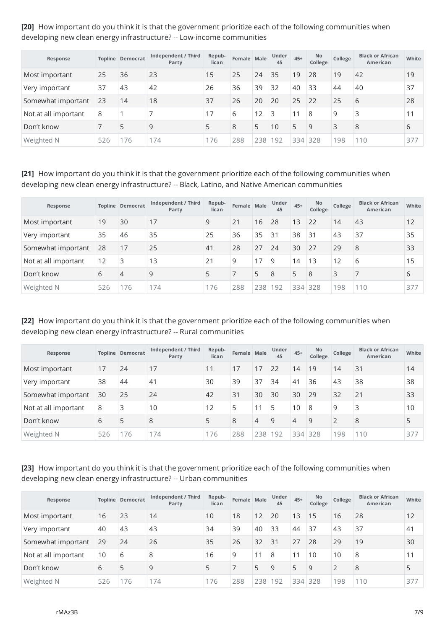**[20]** How important do you think it is that the government prioritize each of the following communities when developing new clean energy infrastructure? -- Low-income communities

| Response             |     | <b>Topline Democrat</b> | Independent / Third<br>Party | Repub-<br>lican | Female Male |     | <b>Under</b><br>45 | $45+$ | <b>No</b><br>College | College | <b>Black or African</b><br>American | White |
|----------------------|-----|-------------------------|------------------------------|-----------------|-------------|-----|--------------------|-------|----------------------|---------|-------------------------------------|-------|
| Most important       | 25  | 36                      | 23                           | 15              | 25          | 24  | 35                 | 19    | 28                   | 19      | 42                                  | 19    |
| Very important       | 37  | 43                      | 42                           | 26              | 36          | 39  | 32                 | 40    | 33                   | 44      | 40                                  | 37    |
| Somewhat important   | 23  | 14                      | 18                           | 37              | 26          | 20  | 20                 | 25    | 22                   | 25      | 6                                   | 28    |
| Not at all important | 8   |                         |                              | 17              | 6           | 12  | 3                  | 11    | 8                    | 9       | 3                                   | 11    |
| Don't know           |     | 5                       | 9                            | 5               | 8           | 5   | 10                 | 5     | 9                    | 3       | 8                                   | 6     |
| Weighted N           | 526 | 76                      | 174                          | 176             | 288         | 238 | 192                |       | 334 328              | 198     | 110                                 | 377   |

**[21]** How important do you think it is that the government prioritize each of the following communities when developing new clean energy infrastructure? -- Black, Latino, and Native American communities

| Response             |     | <b>Topline Democrat</b> | Independent / Third<br>Party | Repub-<br>lican | Female Male |     | <b>Under</b><br>45 | $45+$ | No.<br>College | College | <b>Black or African</b><br>American | White |
|----------------------|-----|-------------------------|------------------------------|-----------------|-------------|-----|--------------------|-------|----------------|---------|-------------------------------------|-------|
| Most important       | 19  | 30                      | 17                           | 9               | 21          | 16  | 28                 | 13    | 22             | 14      | 43                                  | 12    |
| Very important       | 35  | 46                      | 35                           | 25              | 36          | 35  | 31                 | 38    | 31             | 43      | 37                                  | 35    |
| Somewhat important   | 28  | 17                      | 25                           | 41              | 28          | 27  | 24                 | 30    | 27             | 29      | 8                                   | 33    |
| Not at all important | 12  | 3                       | 13                           | 21              | 9           | 17  | 9                  | 14    | 13             | 12      | 6                                   | 15    |
| Don't know           | 6   | $\overline{4}$          | 9                            | 5               |             | 5   | 8                  | 5     | 8              | 3       |                                     | 6     |
| Weighted N           | 526 | 176                     | 174                          | 176             | 288         | 238 | 192                |       | 334 328        | 198     | 110                                 | 377   |

**[22]** How important do you think it is that the government prioritize each of the following communities when developing new clean energy infrastructure? -- Rural communities

| Response             |     | <b>Topline Democrat</b> | Independent / Third<br>Party | Repub-<br>lican | Female Male |     | <b>Under</b><br>45 | $45+$ | No.<br>College | College        | <b>Black or African</b><br>American | White |
|----------------------|-----|-------------------------|------------------------------|-----------------|-------------|-----|--------------------|-------|----------------|----------------|-------------------------------------|-------|
| Most important       | 17  | 24                      | 17                           | 11              | 17          | 17  | 22                 | 14    | 19             | 14             | 31                                  | 14    |
| Very important       | 38  | 44                      | 41                           | 30              | 39          | 37  | 34                 | 41    | 36             | 43             | 38                                  | 38    |
| Somewhat important   | 30  | 25                      | 24                           | 42              | 31          | 30  | 30                 | 30    | 29             | 32             | 21                                  | 33    |
| Not at all important | 8   | 3                       | 10                           | 12              | 5           | 11  | 5                  | 10    | 8              | 9              | 3                                   | 10    |
| Don't know           | 6   | 5                       | 8                            | 5               | 8           | 4   | 9                  | 4     | 9              | $\overline{2}$ | 8                                   | 5     |
| Weighted N           | 526 | 176                     | 174                          | 176             | 288         | 238 | 192                |       | 334 328        | 198            | 110                                 | 377   |

**[23]** How important do you think it is that the government prioritize each of the following communities when developing new clean energy infrastructure? -- Urban communities

| Response             |     | <b>Topline Democrat</b> | Independent / Third<br>Party | Repub-<br>lican | Female Male |     | <b>Under</b><br>45 | $45+$   | <b>No</b><br>College | College        | <b>Black or African</b><br>American | White |
|----------------------|-----|-------------------------|------------------------------|-----------------|-------------|-----|--------------------|---------|----------------------|----------------|-------------------------------------|-------|
| Most important       | 16  | 23                      | 14                           | 10              | 18          | 12  | 20                 | 13      | 15                   | 16             | 28                                  | 12    |
| Very important       | 40  | 43                      | 43                           | 34              | 39          | 40  | 33                 | 44      | 37                   | 43             | 37                                  | 41    |
| Somewhat important   | 29  | 24                      | 26                           | 35              | 26          | 32  | 31                 | 27      | 28                   | 29             | 19                                  | 30    |
| Not at all important | 10  | 6                       | 8                            | 16              | 9           | 11  | 8                  |         | 10                   | 10             | 8                                   | 11    |
| Don't know           | 6   | 5                       | 9                            | 5               |             | 5   | 9                  | 5       | 9                    | $\overline{2}$ | 8                                   | 5     |
| Weighted N           | 526 | 76                      | 174                          | 176             | 288         | 238 | 192                | 334 328 |                      | 198            | 110                                 | 377   |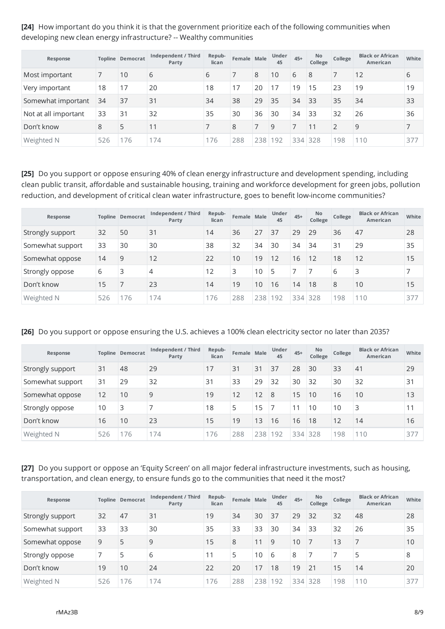**[24]** How important do you think it is that the government prioritize each of the following communities when developing new clean energy infrastructure? -- Wealthy communities

| Response             |     | <b>Topline Democrat</b> | Independent / Third<br>Party | Repub-<br>lican | Female Male |     | <b>Under</b><br>45 | $45+$ | <b>No</b><br>College | College        | <b>Black or African</b><br>American | White |
|----------------------|-----|-------------------------|------------------------------|-----------------|-------------|-----|--------------------|-------|----------------------|----------------|-------------------------------------|-------|
| Most important       |     | 10                      | 6                            | 6               |             | 8   | 10                 | 6     | 8                    |                | 12                                  | 6     |
| Very important       | 18  | 17                      | 20                           | 18              | 17          | 20  | 17                 | 19    | 15                   | 23             | 19                                  | 19    |
| Somewhat important   | 34  | 37                      | 31                           | 34              | 38          | 29  | 35                 | 34    | 33                   | 35             | 34                                  | 33    |
| Not at all important | 33  | 31                      | 32                           | 35              | 30          | 36  | 30                 | 34    | 33                   | 32             | 26                                  | 36    |
| Don't know           | 8   | 5                       | 11                           |                 | 8           |     | 9                  |       | 11                   | $\overline{2}$ | 9                                   |       |
| Weighted N           | 526 | 76                      | 174                          | 176             | 288         | 238 | 192                |       | 334 328              | 198            | 110                                 | 377   |

**[25]** Do you support or oppose ensuring 40% of clean energy infrastructure and development spending, including clean public transit, affordable and sustainable housing, training and workforce development for green jobs, pollution reduction, and development of critical clean water infrastructure, goes to benefit low-income communities?

| Response         |     | <b>Topline Democrat</b> | Independent / Third<br>Party | Repub-<br>lican | Female Male |     | <b>Under</b><br>45 | $45+$   | No.<br>College | College | <b>Black or African</b><br>American | White |
|------------------|-----|-------------------------|------------------------------|-----------------|-------------|-----|--------------------|---------|----------------|---------|-------------------------------------|-------|
| Strongly support | 32  | 50                      | 31                           | 14              | 36          | 27  | 37                 | 29      | 29             | 36      | 47                                  | 28    |
| Somewhat support | 33  | 30                      | 30                           | 38              | 32          | 34  | 30                 | 34      | 34             | 31      | 29                                  | 35    |
| Somewhat oppose  | 14  | 9                       | 12                           | 22              | 10          | 19  | 12                 | 16      | 12             | 18      | 12                                  | 15    |
| Strongly oppose  | 6   | 3                       | 4                            | 12              | 3           | 10  | 5                  |         |                | 6       | 3                                   |       |
| Don't know       | 15  |                         | 23                           | 14              | 19          | 10  | 16                 | 14      | 18             | 8       | 10                                  | 15    |
| Weighted N       | 526 | 176                     | 174                          | 176             | 288         | 238 | 192                | 334 328 |                | 198     | 110                                 | 377   |

#### **[26]** Do you support or oppose ensuring the U.S. achieves a 100% clean electricity sector no later than 2035?

| Response         |     | <b>Topline Democrat</b> | Independent / Third<br>Party | Repub-<br>lican | Female Male |     | <b>Under</b><br>45 | $45+$   | <b>No</b><br>College | College | <b>Black or African</b><br>American | White |
|------------------|-----|-------------------------|------------------------------|-----------------|-------------|-----|--------------------|---------|----------------------|---------|-------------------------------------|-------|
| Strongly support | 31  | 48                      | 29                           | 17              | 31          | 31  | 37                 | 28      | 30                   | 33      | 41                                  | 29    |
| Somewhat support | 31  | 29                      | 32                           | 31              | 33          | 29  | 32                 | 30      | 32                   | 30      | 32                                  | 31    |
| Somewhat oppose  | 12  | 10                      | 9                            | 19              | 12          | 12  | 8                  | 15      | 10                   | 16      | 10                                  | 13    |
| Strongly oppose  | 10  | 3                       |                              | 18              | 5           | 15  |                    | 11      | 10                   | 10      | 3                                   | 11    |
| Don't know       | 16  | 10                      | 23                           | 15              | 19          | 13  | 16                 | 16      | 18                   | 12      | 14                                  | 16    |
| Weighted N       | 526 | 176                     | 174                          | 176             | 288         | 238 | 192                | 334 328 |                      | 198     | 110                                 | 377   |

**[27]** Do you support or oppose an 'Equity Screen' on all major federal infrastructure investments, such as housing, transportation, and clean energy, to ensure funds go to the communities that need it the most?

| Response         |     | <b>Topline Democrat</b> | Independent / Third<br>Party | Repub-<br>lican | Female Male |     | <b>Under</b><br>45 | $45+$ | <b>No</b><br>College | College | <b>Black or African</b><br>American | White |
|------------------|-----|-------------------------|------------------------------|-----------------|-------------|-----|--------------------|-------|----------------------|---------|-------------------------------------|-------|
| Strongly support | 32  | 47                      | 31                           | 19              | 34          | 30  | 37                 | 29    | 32                   | 32      | 48                                  | 28    |
| Somewhat support | 33  | 33                      | 30                           | 35              | 33          | 33  | 30                 | 34    | 33                   | 32      | 26                                  | 35    |
| Somewhat oppose  | 9   | 5                       | 9                            | 15              | 8           | 11  | 9                  | 10    | $\overline{7}$       | 13      | 7                                   | 10    |
| Strongly oppose  |     | 5                       | 6                            | 11              | 5           | 10  | 6                  | 8     |                      |         | 5                                   | 8     |
| Don't know       | 19  | 10                      | 24                           | 22              | 20          | 17  | 18                 | 19    | 21                   | 15      | 14                                  | 20    |
| Weighted N       | 526 | 76                      | 174                          | 176             | 288         | 238 | 192                |       | 334 328              | 198     | 110                                 | 377   |